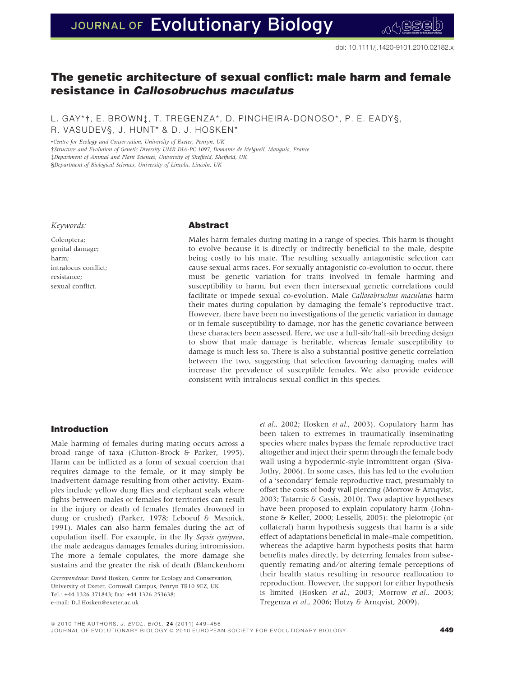# The genetic architecture of sexual conflict: male harm and female resistance in Callosobruchus maculatus

L. GAY\*†, E. BROWN‡, T. TREGENZA\*, D. PINCHEIRA-DONOSO\*, P. E. EADY§, R. VASUDEV§, J. HUNT\* & D. J. HOSKEN\*

\*Centre for Ecology and Conservation, University of Exeter, Penryn, UK

-Structure and Evolution of Genetic Diversity UMR DIA-PC 1097, Domaine de Melgueil, Mauguio, France Department of Animal and Plant Sciences, University of Sheffield, Sheffield, UK §Department of Biological Sciences, University of Lincoln, Lincoln, UK

Keywords:

Coleoptera; genital damage; harm; intralocus conflict; resistance; sexual conflict.

# Abstract

Males harm females during mating in a range of species. This harm is thought to evolve because it is directly or indirectly beneficial to the male, despite being costly to his mate. The resulting sexually antagonistic selection can cause sexual arms races. For sexually antagonistic co-evolution to occur, there must be genetic variation for traits involved in female harming and susceptibility to harm, but even then intersexual genetic correlations could facilitate or impede sexual co-evolution. Male Callosobruchus maculatus harm their mates during copulation by damaging the female's reproductive tract. However, there have been no investigations of the genetic variation in damage or in female susceptibility to damage, nor has the genetic covariance between these characters been assessed. Here, we use a full-sib ⁄ half-sib breeding design to show that male damage is heritable, whereas female susceptibility to damage is much less so. There is also a substantial positive genetic correlation between the two, suggesting that selection favouring damaging males will increase the prevalence of susceptible females. We also provide evidence consistent with intralocus sexual conflict in this species.

# Introduction

Male harming of females during mating occurs across a broad range of taxa (Clutton-Brock & Parker, 1995). Harm can be inflicted as a form of sexual coercion that requires damage to the female, or it may simply be inadvertent damage resulting from other activity. Examples include yellow dung flies and elephant seals where fights between males or females for territories can result in the injury or death of females (females drowned in dung or crushed) (Parker, 1978; Leboeuf & Mesnick, 1991). Males can also harm females during the act of copulation itself. For example, in the fly Sepsis cynipsea, the male aedeagus damages females during intromission. The more a female copulates, the more damage she sustains and the greater the risk of death (Blanckenhorn

Correspondence: David Hosken, Centre for Ecology and Conservation, University of Exeter, Cornwall Campus, Penryn TR10 9EZ, UK.  $Tel \cdot +44$  1326 371843; fax: +44 1326 253638; e-mail: D.J.Hosken@exeter.ac.uk

et al., 2002; Hosken et al., 2003). Copulatory harm has been taken to extremes in traumatically inseminating species where males bypass the female reproductive tract altogether and inject their sperm through the female body wall using a hypodermic-style intromittent organ (Siva-Jothy, 2006). In some cases, this has led to the evolution of a 'secondary' female reproductive tract, presumably to offset the costs of body wall piercing (Morrow & Arnqvist, 2003; Tatarnic & Cassis, 2010). Two adaptive hypotheses have been proposed to explain copulatory harm (Johnstone & Keller, 2000; Lessells, 2005): the pleiotropic (or collateral) harm hypothesis suggests that harm is a side effect of adaptations beneficial in male–male competition, whereas the adaptive harm hypothesis posits that harm benefits males directly, by deterring females from subsequently remating and/or altering female perceptions of their health status resulting in resource reallocation to reproduction. However, the support for either hypothesis is limited (Hosken et al., 2003; Morrow et al., 2003; Tregenza et al., 2006; Hotzy & Arnqvist, 2009).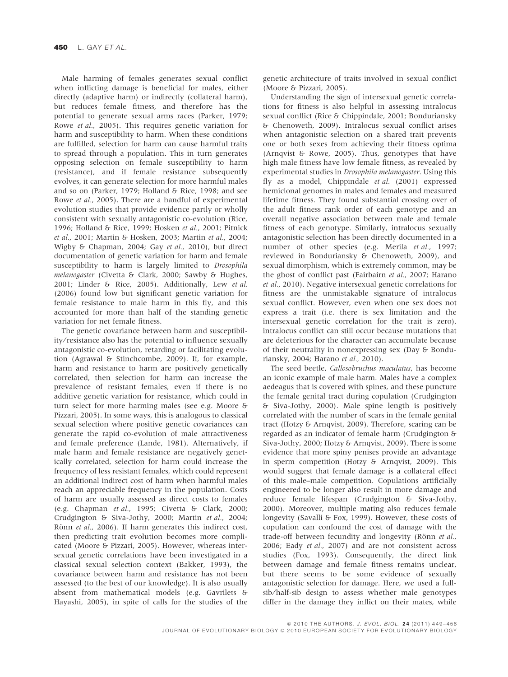Male harming of females generates sexual conflict when inflicting damage is beneficial for males, either directly (adaptive harm) or indirectly (collateral harm), but reduces female fitness, and therefore has the potential to generate sexual arms races (Parker, 1979; Rowe et al., 2005). This requires genetic variation for harm and susceptibility to harm. When these conditions are fulfilled, selection for harm can cause harmful traits to spread through a population. This in turn generates opposing selection on female susceptibility to harm (resistance), and if female resistance subsequently evolves, it can generate selection for more harmful males and so on (Parker, 1979; Holland & Rice, 1998; and see Rowe et al., 2005). There are a handful of experimental evolution studies that provide evidence partly or wholly consistent with sexually antagonistic co-evolution (Rice, 1996; Holland & Rice, 1999; Hosken et al., 2001; Pitnick et al., 2001; Martin & Hosken, 2003; Martin et al., 2004; Wigby & Chapman, 2004; Gay et al., 2010), but direct documentation of genetic variation for harm and female susceptibility to harm is largely limited to Drosophila melanogaster (Civetta & Clark, 2000; Sawby & Hughes, 2001; Linder & Rice, 2005). Additionally, Lew et al. (2006) found low but significant genetic variation for female resistance to male harm in this fly, and this accounted for more than half of the standing genetic variation for net female fitness.

The genetic covariance between harm and susceptibility ⁄resistance also has the potential to influence sexually antagonistic co-evolution, retarding or facilitating evolution (Agrawal & Stinchcombe, 2009). If, for example, harm and resistance to harm are positively genetically correlated, then selection for harm can increase the prevalence of resistant females, even if there is no additive genetic variation for resistance, which could in turn select for more harming males (see e.g. Moore & Pizzari, 2005). In some ways, this is analogous to classical sexual selection where positive genetic covariances can generate the rapid co-evolution of male attractiveness and female preference (Lande, 1981). Alternatively, if male harm and female resistance are negatively genetically correlated, selection for harm could increase the frequency of less resistant females, which could represent an additional indirect cost of harm when harmful males reach an appreciable frequency in the population. Costs of harm are usually assessed as direct costs to females (e.g. Chapman et al., 1995; Civetta & Clark, 2000; Crudgington & Siva-Jothy, 2000; Martin et al., 2004; Rönn et al., 2006). If harm generates this indirect cost, then predicting trait evolution becomes more complicated (Moore & Pizzari, 2005). However, whereas intersexual genetic correlations have been investigated in a classical sexual selection context (Bakker, 1993), the covariance between harm and resistance has not been assessed (to the best of our knowledge). It is also usually absent from mathematical models (e.g. Gavrilets & Hayashi, 2005), in spite of calls for the studies of the

genetic architecture of traits involved in sexual conflict (Moore & Pizzari, 2005).

Understanding the sign of intersexual genetic correlations for fitness is also helpful in assessing intralocus sexual conflict (Rice & Chippindale, 2001; Bonduriansky & Chenoweth, 2009). Intralocus sexual conflict arises when antagonistic selection on a shared trait prevents one or both sexes from achieving their fitness optima (Arnqvist & Rowe, 2005). Thus, genotypes that have high male fitness have low female fitness, as revealed by experimental studies in Drosophila melanogaster. Using this fly as a model, Chippindale et al. (2001) expressed hemiclonal genomes in males and females and measured lifetime fitness. They found substantial crossing over of the adult fitness rank order of each genotype and an overall negative association between male and female fitness of each genotype. Similarly, intralocus sexually antagonistic selection has been directly documented in a number of other species (e.g. Merila et al., 1997; reviewed in Bonduriansky & Chenoweth, 2009), and sexual dimorphism, which is extremely common, may be the ghost of conflict past (Fairbairn et al., 2007; Harano et al., 2010). Negative intersexual genetic correlations for fitness are the unmistakable signature of intralocus sexual conflict. However, even when one sex does not express a trait (i.e. there is sex limitation and the intersexual genetic correlation for the trait is zero), intralocus conflict can still occur because mutations that are deleterious for the character can accumulate because of their neutrality in nonexpressing sex (Day & Bonduriansky, 2004; Harano et al., 2010).

The seed beetle, Callosobruchus maculatus, has become an iconic example of male harm. Males have a complex aedeagus that is covered with spines, and these puncture the female genital tract during copulation (Crudgington & Siva-Jothy, 2000). Male spine length is positively correlated with the number of scars in the female genital tract (Hotzy & Arnqvist, 2009). Therefore, scaring can be regarded as an indicator of female harm (Crudgington & Siva-Jothy, 2000; Hotzy & Arnqvist, 2009). There is some evidence that more spiny penises provide an advantage in sperm competition (Hotzy & Arnqvist, 2009). This would suggest that female damage is a collateral effect of this male–male competition. Copulations artificially engineered to be longer also result in more damage and reduce female lifespan (Crudgington & Siva-Jothy, 2000). Moreover, multiple mating also reduces female longevity (Savalli & Fox, 1999). However, these costs of copulation can confound the cost of damage with the trade-off between fecundity and longevity (Rönn et al., 2006; Eady et al., 2007) and are not consistent across studies (Fox, 1993). Consequently, the direct link between damage and female fitness remains unclear, but there seems to be some evidence of sexually antagonistic selection for damage. Here, we used a fullsib/half-sib design to assess whether male genotypes differ in the damage they inflict on their mates, while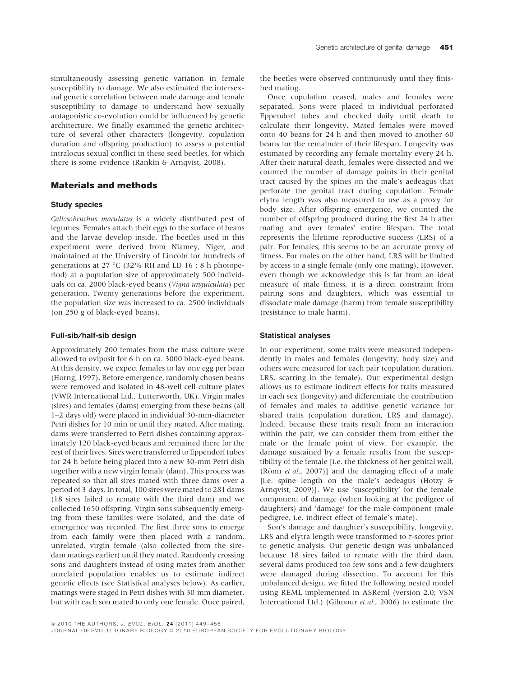simultaneously assessing genetic variation in female susceptibility to damage. We also estimated the intersexual genetic correlation between male damage and female susceptibility to damage to understand how sexually antagonistic co-evolution could be influenced by genetic architecture. We finally examined the genetic architecture of several other characters (longevity, copulation duration and offspring production) to assess a potential intralocus sexual conflict in these seed beetles, for which there is some evidence (Rankin & Arnqvist, 2008).

# Materials and methods

## Study species

Callosobruchus maculatus is a widely distributed pest of legumes. Females attach their eggs to the surface of beans and the larvae develop inside. The beetles used in this experiment were derived from Niamey, Niger, and maintained at the University of Lincoln for hundreds of generations at 27 °C (32% RH and LD 16 : 8 h photoperiod) at a population size of approximately 500 individuals on ca. 2000 black-eyed beans (Vigna unguiculata) per generation. Twenty generations before the experiment, the population size was increased to ca. 2500 individuals (on 250 g of black-eyed beans).

## Full-sib/half-sib design

Approximately 200 females from the mass culture were allowed to oviposit for 6 h on ca. 3000 black-eyed beans. At this density, we expect females to lay one egg per bean (Horng, 1997). Before emergence, randomly chosen beans were removed and isolated in 48-well cell culture plates (VWR International Ltd., Lutterworth, UK). Virgin males (sires) and females (dams) emerging from these beans (all 1–2 days old) were placed in individual 30-mm-diameter Petri dishes for 10 min or until they mated. After mating, dams were transferred to Petri dishes containing approximately 120 black-eyed beans and remained there for the rest of their lives. Sires were transferred to Eppendorf tubes for 24 h before being placed into a new 30-mm Petri dish together with a new virgin female (dam). This process was repeated so that all sires mated with three dams over a period of 3 days. In total, 100 sires were mated to 281 dams (18 sires failed to remate with the third dam) and we collected 1650 offspring. Virgin sons subsequently emerging from these families were isolated, and the date of emergence was recorded. The first three sons to emerge from each family were then placed with a random, unrelated, virgin female (also collected from the siredam matings earlier) until they mated. Randomly crossing sons and daughters instead of using mates from another unrelated population enables us to estimate indirect genetic effects (see Statistical analyses below). As earlier, matings were staged in Petri dishes with 30 mm diameter, but with each son mated to only one female. Once paired,

the beetles were observed continuously until they finished mating.

Once copulation ceased, males and females were separated. Sons were placed in individual perforated Eppendorf tubes and checked daily until death to calculate their longevity. Mated females were moved onto 40 beans for 24 h and then moved to another 60 beans for the remainder of their lifespan. Longevity was estimated by recording any female mortality every 24 h. After their natural death, females were dissected and we counted the number of damage points in their genital tract caused by the spines on the male's aedeagus that perforate the genital tract during copulation. Female elytra length was also measured to use as a proxy for body size. After offspring emergence, we counted the number of offspring produced during the first 24 h after mating and over females' entire lifespan. The total represents the lifetime reproductive success (LRS) of a pair. For females, this seems to be an accurate proxy of fitness. For males on the other hand, LRS will be limited by access to a single female (only one mating). However, even though we acknowledge this is far from an ideal measure of male fitness, it is a direct constraint from pairing sons and daughters, which was essential to dissociate male damage (harm) from female susceptibility (resistance to male harm).

## Statistical analyses

In our experiment, some traits were measured independently in males and females (longevity, body size) and others were measured for each pair (copulation duration, LRS, scarring in the female). Our experimental design allows us to estimate indirect effects for traits measured in each sex (longevity) and differentiate the contribution of females and males to additive genetic variance for shared traits (copulation duration, LRS and damage). Indeed, because these traits result from an interaction within the pair, we can consider them from either the male or the female point of view. For example, the damage sustained by a female results from the susceptibility of the female [i.e. the thickness of her genital wall, (Rönn et al., 2007)] and the damaging effect of a male [i.e. spine length on the male's aedeagus (Hotzy  $\delta$ Arnqvist, 2009)]. We use 'susceptibility' for the female component of damage (when looking at the pedigree of daughters) and 'damage' for the male component (male pedigree, i.e. indirect effect of female's mate).

Son's damage and daughter's susceptibility, longevity, LRS and elytra length were transformed to z-scores prior to genetic analysis. Our genetic design was unbalanced because 18 sires failed to remate with the third dam, several dams produced too few sons and a few daughters were damaged during dissection. To account for this unbalanced design, we fitted the following nested model using REML implemented in ASReml (version 2.0; VSN International Ltd.) (Gilmour et al., 2006) to estimate the

JOURNAL OF EVOLUTIONARY BIOLOGY @ 2010 EUROPEAN SOCIETY FOR EVOLUTIONARY BIOLOGY

ª 2010 THE AUTHORS. J. EVOL. BIOL. 2 4 (2011) 449–456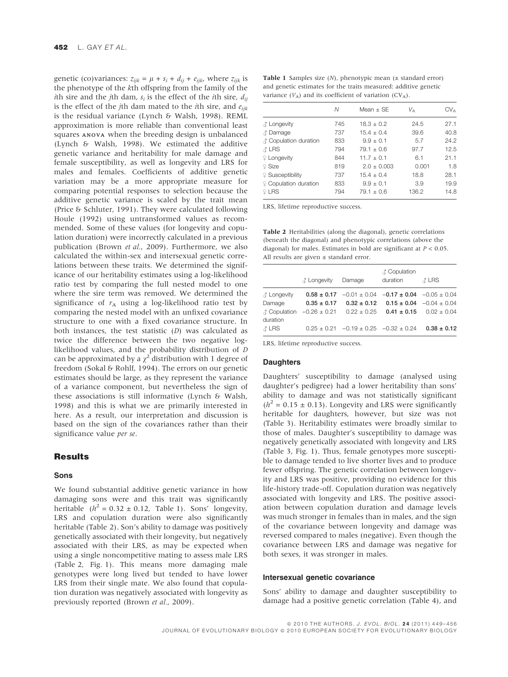genetic (co)variances:  $z_{ijk} = \mu + s_i + d_{ij} + e_{ijk}$ , where  $z_{ijk}$  is the phenotype of the kth offspring from the family of the ith sire and the *j*th dam,  $s_i$  is the effect of the *i*th sire,  $d_{ii}$ is the effect of the *j*th dam mated to the *i*th sire, and  $e_{ijk}$ is the residual variance (Lynch & Walsh, 1998). REML approximation is more reliable than conventional least squares ANOVA when the breeding design is unbalanced (Lynch & Walsh, 1998). We estimated the additive genetic variance and heritability for male damage and female susceptibility, as well as longevity and LRS for males and females. Coefficients of additive genetic variation may be a more appropriate measure for comparing potential responses to selection because the additive genetic variance is scaled by the trait mean (Price & Schluter, 1991). They were calculated following Houle (1992) using untransformed values as recommended. Some of these values (for longevity and copulation duration) were incorrectly calculated in a previous publication (Brown et al., 2009). Furthermore, we also calculated the within-sex and intersexual genetic correlations between these traits. We determined the significance of our heritability estimates using a log-likelihood ratio test by comparing the full nested model to one where the sire term was removed. We determined the significance of  $r_A$  using a log-likelihood ratio test by comparing the nested model with an unfixed covariance structure to one with a fixed covariance structure. In both instances, the test statistic  $(D)$  was calculated as twice the difference between the two negative loglikelihood values, and the probability distribution of D can be approximated by a  $\chi^2$  distribution with 1 degree of freedom (Sokal & Rohlf, 1994). The errors on our genetic estimates should be large, as they represent the variance of a variance component, but nevertheless the sign of these associations is still informative (Lynch & Walsh, 1998) and this is what we are primarily interested in here. As a result, our interpretation and discussion is based on the sign of the covariances rather than their significance value per se.

## **Results**

#### Sons

We found substantial additive genetic variance in how damaging sons were and this trait was significantly heritable  $(h^2 = 0.32 \pm 0.12$ , Table 1). Sons' longevity, LRS and copulation duration were also significantly heritable (Table 2). Son's ability to damage was positively genetically associated with their longevity, but negatively associated with their LRS, as may be expected when using a single noncompetitive mating to assess male LRS (Table 2, Fig. 1). This means more damaging male genotypes were long lived but tended to have lower LRS from their single mate. We also found that copulation duration was negatively associated with longevity as previously reported (Brown et al., 2009).

**Table 1** Samples size  $(N)$ , phenotypic mean  $(\pm$  standard error) and genetic estimates for the traits measured: additive genetic variance  $(V_A)$  and its coefficient of variation  $(CV_A)$ .

|                              | Ν   | Mean $\pm$ SE   | $V_{\rm A}$ | CV <sub>A</sub> |
|------------------------------|-----|-----------------|-------------|-----------------|
| ♂ Longevity                  | 745 | $18.3 \pm 0.2$  | 24.5        | 27.1            |
| √ Damaqe                     | 737 | $15.4 + 0.4$    | 39.6        | 40.8            |
| ♂ Copulation duration        | 833 | $9.9 + 0.1$     | 5.7         | 24.2            |
| $\beta$ LRS                  | 794 | $79.1 + 0.6$    | 97.7        | 12.5            |
| <b>⊉ Longevity</b>           | 844 | $11.7 + 0.1$    | 6.1         | 21.1            |
| $\Omega$ Size                | 819 | $2.0 \pm 0.003$ | 0.001       | 1.8             |
| ♀ Susceptibility             | 737 | $15.4 + 0.4$    | 18.8        | 28.1            |
| <b>2 Copulation duration</b> | 833 | $9.9 + 0.1$     | 3.9         | 19.9            |
| <b>QLRS</b>                  | 794 | $79.1 + 0.6$    | 136.2       | 14.8            |
|                              |     |                 |             |                 |

LRS, lifetime reproductive success.

Table 2 Heritabilities (along the diagonal), genetic correlations (beneath the diagonal) and phenotypic correlations (above the diagonal) for males. Estimates in bold are significant at  $P < 0.05$ . All results are given  $\pm$  standard error.

|               | ₹ Longevity | Damage                                  | √ Copulation<br>duration                                                                                    | ਼ ∂ LRS         |
|---------------|-------------|-----------------------------------------|-------------------------------------------------------------------------------------------------------------|-----------------|
| √ Longevity   |             |                                         | $0.58 \pm 0.17$ -0.01 $\pm$ 0.04 -0.17 $\pm$ 0.04 -0.05 $\pm$ 0.04                                          |                 |
| Damage        |             |                                         | $0.35 \pm 0.17$ $0.32 \pm 0.12$ $0.15 \pm 0.04$ $-0.04 \pm 0.04$                                            |                 |
|               |             |                                         | $\frac{1}{2}$ Copulation $-0.26 \pm 0.21$ 0.22 $\pm 0.25$ <b>0.41 <math>\pm 0.15</math></b> 0.02 $\pm 0.04$ |                 |
| duration      |             |                                         |                                                                                                             |                 |
| $\lambda$ LRS |             | $0.25 + 0.21 -0.19 + 0.25 -0.32 + 0.24$ |                                                                                                             | $0.38 \pm 0.12$ |

LRS, lifetime reproductive success.

#### **Daughters**

Daughters' susceptibility to damage (analysed using daughter's pedigree) had a lower heritability than sons' ability to damage and was not statistically significant  $(h^2 = 0.15 \pm 0.13)$ . Longevity and LRS were significantly heritable for daughters, however, but size was not (Table 3). Heritability estimates were broadly similar to those of males. Daughter's susceptibility to damage was negatively genetically associated with longevity and LRS (Table 3, Fig. 1). Thus, female genotypes more susceptible to damage tended to live shorter lives and to produce fewer offspring. The genetic correlation between longevity and LRS was positive, providing no evidence for this life-history trade-off. Copulation duration was negatively associated with longevity and LRS. The positive association between copulation duration and damage levels was much stronger in females than in males, and the sign of the covariance between longevity and damage was reversed compared to males (negative). Even though the covariance between LRS and damage was negative for both sexes, it was stronger in males.

#### Intersexual genetic covariance

Sons' ability to damage and daughter susceptibility to damage had a positive genetic correlation (Table 4), and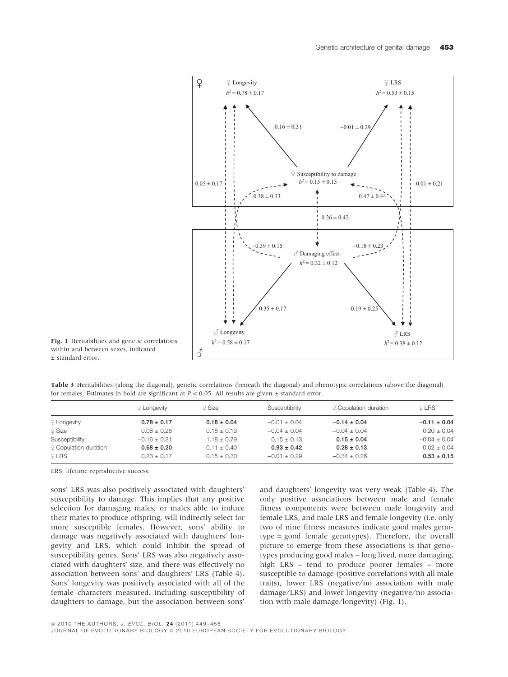

Fig. 1 Heritabilities and genetic correlations within and between sexes, indicated ± standard error.

Table 3 Heritabilities (along the diagonal), genetic correlations (beneath the diagonal) and phenotypic correlations (above the diagonal) for females. Estimates in bold are significant at  $P < 0.05$ . All results are given  $\pm$  standard error.

|                         | $Q$ Longevity    | $\Omega$ Size    | Susceptibility   | <b>♀</b> Copulation duration | $9$ LRS          |
|-------------------------|------------------|------------------|------------------|------------------------------|------------------|
| $Q$ Longevity           | $0.78 \pm 0.17$  | $0.18 \pm 0.04$  | $-0.01 + 0.04$   | $-0.14 \pm 0.04$             | $-0.11 \pm 0.04$ |
| $\circ$ Size            | $0.08 \pm 0.28$  | $0.18 \pm 0.13$  | $-0.04 \pm 0.04$ | $-0.04 \pm 0.04$             | $0.20 \pm 0.04$  |
| Susceptibility          | $-0.16 + 0.31$   | $1.18 + 0.79$    | $0.15 + 0.13$    | $0.15 \pm 0.04$              | $-0.04 + 0.04$   |
| $Q$ Copulation duration | $-0.68 \pm 0.20$ | $-0.11 \pm 0.40$ | $0.93 \pm 0.42$  | $0.28 \pm 0.13$              | $0.02 \pm 0.04$  |
| $9$ LRS                 | $0.23 + 0.17$    | $0.15 + 0.30$    | $-0.01 + 0.29$   | $-0.34 + 0.26$               | $0.53 \pm 0.15$  |

LRS, lifetime reproductive success.

sons' LRS was also positively associated with daughters' susceptibility to damage. This implies that any positive selection for damaging males, or males able to induce their mates to produce offspring, will indirectly select for more susceptible females. However, sons' ability to damage was negatively associated with daughters' longevity and LRS, which could inhibit the spread of susceptibility genes. Sons' LRS was also negatively associated with daughters' size, and there was effectively no association between sons' and daughters' LRS (Table 4). Sons' longevity was positively associated with all of the female characters measured, including susceptibility of daughters to damage, but the association between sons'

and daughters' longevity was very weak (Table 4). The only positive associations between male and female fitness components were between male longevity and female LRS, and male LRS and female longevity (i.e. only two of nine fitness measures indicate good males genotype = good female genotypes). Therefore, the overall picture to emerge from these associations is that genotypes producing good males – long lived, more damaging, high LRS – tend to produce poorer females – more susceptible to damage (positive correlations with all male traits), lower LRS (negative/no association with male damage/LRS) and lower longevity (negative/no association with male damage/longevity) (Fig. 1).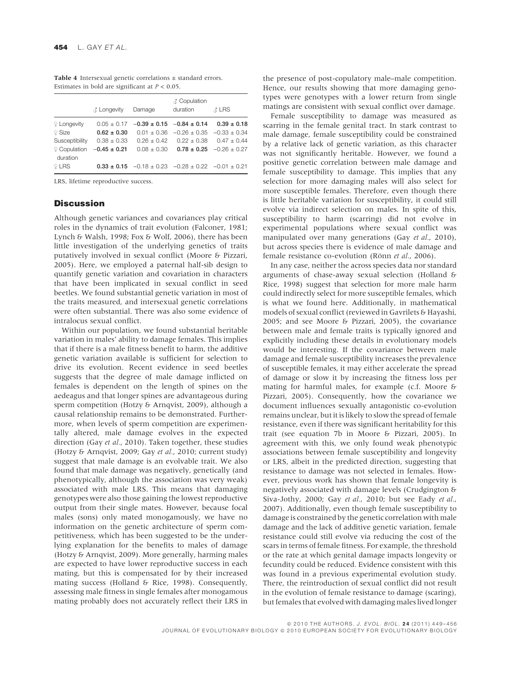Table 4 Intersexual genetic correlations ± standard errors. Estimates in bold are significant at  $P < 0.05$ .

|                          | √ Longevity      | Damage                                                             | ♂ Copulation<br>duration                     | $\lambda$ LRS   |
|--------------------------|------------------|--------------------------------------------------------------------|----------------------------------------------|-----------------|
| $Q$ Longevity            |                  | $0.05 \pm 0.17$ -0.39 $\pm$ 0.15 -0.84 $\pm$ 0.14                  |                                              | $0.39 \pm 0.18$ |
| $\Omega$ Size            | $0.62 \pm 0.30$  |                                                                    | $0.01 + 0.36 -0.26 + 0.35 -0.33 + 0.34$      |                 |
| Susceptibility           | $0.38 + 0.33$    | $0.26 + 0.42$                                                      | $0.22 + 0.38$                                | $0.47 + 0.44$   |
| ♀ Copulation<br>duration | $-0.45 \pm 0.21$ |                                                                    | $0.08 + 0.30$ $0.78 \pm 0.25$ $-0.26 + 0.27$ |                 |
| $9$ LRS                  |                  | $0.33 \pm 0.15$ -0.18 $\pm$ 0.23 -0.28 $\pm$ 0.22 -0.01 $\pm$ 0.21 |                                              |                 |

LRS, lifetime reproductive success.

# **Discussion**

Although genetic variances and covariances play critical roles in the dynamics of trait evolution (Falconer, 1981; Lynch & Walsh, 1998; Fox & Wolf, 2006), there has been little investigation of the underlying genetics of traits putatively involved in sexual conflict (Moore & Pizzari, 2005). Here, we employed a paternal half-sib design to quantify genetic variation and covariation in characters that have been implicated in sexual conflict in seed beetles. We found substantial genetic variation in most of the traits measured, and intersexual genetic correlations were often substantial. There was also some evidence of intralocus sexual conflict.

Within our population, we found substantial heritable variation in males' ability to damage females. This implies that if there is a male fitness benefit to harm, the additive genetic variation available is sufficient for selection to drive its evolution. Recent evidence in seed beetles suggests that the degree of male damage inflicted on females is dependent on the length of spines on the aedeagus and that longer spines are advantageous during sperm competition (Hotzy & Arnqvist, 2009), although a causal relationship remains to be demonstrated. Furthermore, when levels of sperm competition are experimentally altered, male damage evolves in the expected direction (Gay et al., 2010). Taken together, these studies (Hotzy & Arnqvist, 2009; Gay et al., 2010; current study) suggest that male damage is an evolvable trait. We also found that male damage was negatively, genetically (and phenotypically, although the association was very weak) associated with male LRS. This means that damaging genotypes were also those gaining the lowest reproductive output from their single mates. However, because focal males (sons) only mated monogamously, we have no information on the genetic architecture of sperm competitiveness, which has been suggested to be the underlying explanation for the benefits to males of damage (Hotzy & Arnqvist, 2009). More generally, harming males are expected to have lower reproductive success in each mating, but this is compensated for by their increased mating success (Holland & Rice, 1998). Consequently, assessing male fitness in single females after monogamous mating probably does not accurately reflect their LRS in

the presence of post-copulatory male–male competition. Hence, our results showing that more damaging genotypes were genotypes with a lower return from single matings are consistent with sexual conflict over damage.

Female susceptibility to damage was measured as scarring in the female genital tract. In stark contrast to male damage, female susceptibility could be constrained by a relative lack of genetic variation, as this character was not significantly heritable. However, we found a positive genetic correlation between male damage and female susceptibility to damage. This implies that any selection for more damaging males will also select for more susceptible females. Therefore, even though there is little heritable variation for susceptibility, it could still evolve via indirect selection on males. In spite of this, susceptibility to harm (scarring) did not evolve in experimental populations where sexual conflict was manipulated over many generations (Gay et al., 2010), but across species there is evidence of male damage and female resistance co-evolution (Rönn et al., 2006).

In any case, neither the across species data nor standard arguments of chase-away sexual selection (Holland & Rice, 1998) suggest that selection for more male harm could indirectly select for more susceptible females, which is what we found here. Additionally, in mathematical models of sexual conflict (reviewed in Gavrilets & Hayashi, 2005; and see Moore & Pizzari, 2005), the covariance between male and female traits is typically ignored and explicitly including these details in evolutionary models would be interesting. If the covariance between male damage and female susceptibility increases the prevalence of susceptible females, it may either accelerate the spread of damage or slow it by increasing the fitness loss per mating for harmful males, for example (c.f. Moore & Pizzari, 2005). Consequently, how the covariance we document influences sexually antagonistic co-evolution remains unclear, but it is likely to slow the spread of female resistance, even if there was significant heritability for this trait (see equation 7b in Moore & Pizzari, 2005). In agreement with this, we only found weak phenotypic associations between female susceptibility and longevity or LRS, albeit in the predicted direction, suggesting that resistance to damage was not selected in females. However, previous work has shown that female longevity is negatively associated with damage levels (Crudgington & Siva-Jothy, 2000; Gay et al., 2010; but see Eady et al., 2007). Additionally, even though female susceptibility to damage is constrained by the genetic correlation with male damage and the lack of additive genetic variation, female resistance could still evolve via reducing the cost of the scars in terms of female fitness. For example, the threshold or the rate at which genital damage impacts longevity or fecundity could be reduced. Evidence consistent with this was found in a previous experimental evolution study. There, the reintroduction of sexual conflict did not result in the evolution of female resistance to damage (scaring), but females that evolved with damaging males lived longer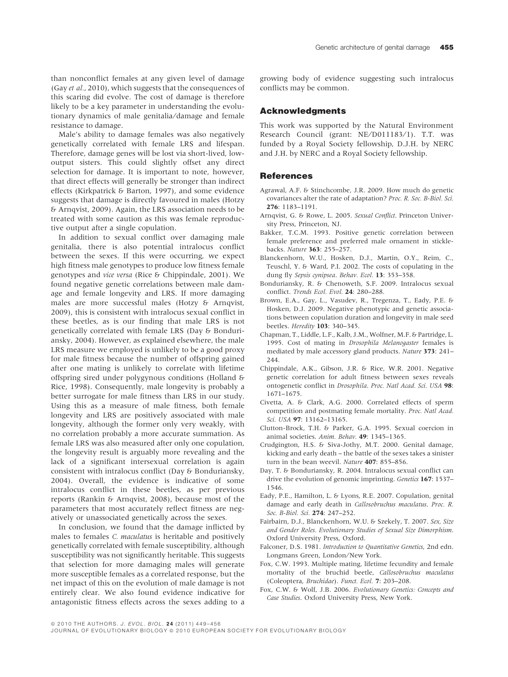than nonconflict females at any given level of damage (Gay et al., 2010), which suggests that the consequences of this scaring did evolve. The cost of damage is therefore likely to be a key parameter in understanding the evolutionary dynamics of male genitalia/damage and female resistance to damage.

Male's ability to damage females was also negatively genetically correlated with female LRS and lifespan. Therefore, damage genes will be lost via short-lived, lowoutput sisters. This could slightly offset any direct selection for damage. It is important to note, however, that direct effects will generally be stronger than indirect effects (Kirkpatrick & Barton, 1997), and some evidence suggests that damage is directly favoured in males (Hotzy & Arnqvist, 2009). Again, the LRS association needs to be treated with some caution as this was female reproductive output after a single copulation.

In addition to sexual conflict over damaging male genitalia, there is also potential intralocus conflict between the sexes. If this were occurring, we expect high fitness male genotypes to produce low fitness female genotypes and vice versa (Rice & Chippindale, 2001). We found negative genetic correlations between male damage and female longevity and LRS. If more damaging males are more successful males (Hotzy & Arnqvist, 2009), this is consistent with intralocus sexual conflict in these beetles, as is our finding that male LRS is not genetically correlated with female LRS (Day & Bonduriansky, 2004). However, as explained elsewhere, the male LRS measure we employed is unlikely to be a good proxy for male fitness because the number of offspring gained after one mating is unlikely to correlate with lifetime offspring sired under polygynous conditions (Holland & Rice, 1998). Consequently, male longevity is probably a better surrogate for male fitness than LRS in our study. Using this as a measure of male fitness, both female longevity and LRS are positively associated with male longevity, although the former only very weakly, with no correlation probably a more accurate summation. As female LRS was also measured after only one copulation, the longevity result is arguably more revealing and the lack of a significant intersexual correlation is again consistent with intralocus conflict (Day & Bonduriansky, 2004). Overall, the evidence is indicative of some intralocus conflict in these beetles, as per previous reports (Rankin & Arnqvist, 2008), because most of the parameters that most accurately reflect fitness are negatively or unassociated genetically across the sexes.

In conclusion, we found that the damage inflicted by males to females C. maculatus is heritable and positively genetically correlated with female susceptibility, although susceptibility was not significantly heritable. This suggests that selection for more damaging males will generate more susceptible females as a correlated response, but the net impact of this on the evolution of male damage is not entirely clear. We also found evidence indicative for antagonistic fitness effects across the sexes adding to a growing body of evidence suggesting such intralocus conflicts may be common.

# Acknowledgments

This work was supported by the Natural Environment Research Council (grant: NE/D011183/1). T.T. was funded by a Royal Society fellowship, D.J.H. by NERC and J.H. by NERC and a Royal Society fellowship.

## References

- Agrawal, A.F. & Stinchcombe, J.R. 2009. How much do genetic covariances alter the rate of adaptation? Proc. R. Soc. B-Biol. Sci. 276: 1183–1191.
- Arnqvist, G. & Rowe, L. 2005. Sexual Conflict. Princeton University Press, Princeton, NJ.
- Bakker, T.C.M. 1993. Positive genetic correlation between female preference and preferred male ornament in sticklebacks. Nature 363: 255–257.
- Blanckenhorn, W.U., Hosken, D.J., Martin, O.Y., Reim, C., Teuschl, Y. & Ward, P.I. 2002. The costs of copulating in the dung fly Sepsis cynipsea. Behav. Ecol. 13: 353–358.
- Bonduriansky, R. & Chenoweth, S.F. 2009. Intralocus sexual conflict. Trends Ecol. Evol. 24: 280-288.
- Brown, E.A., Gay, L., Vasudev, R., Tregenza, T., Eady, P.E. & Hosken, D.J. 2009. Negative phenotypic and genetic associations between copulation duration and longevity in male seed beetles. Heredity 103: 340–345.
- Chapman, T., Liddle, L.F., Kalb, J.M., Wolfner, M.F. & Partridge, L. 1995. Cost of mating in Drosophila Melanogaster females is mediated by male accessory gland products. Nature 373: 241– 244.
- Chippindale, A.K., Gibson, J.R. & Rice, W.R. 2001. Negative genetic correlation for adult fitness between sexes reveals ontogenetic conflict in Drosophila. Proc. Natl Acad. Sci. USA 98: 1671–1675.
- Civetta, A. & Clark, A.G. 2000. Correlated effects of sperm competition and postmating female mortality. Proc. Natl Acad. Sci. USA 97: 13162–13165.
- Clutton-Brock, T.H. & Parker, G.A. 1995. Sexual coercion in animal societies. Anim. Behav. 49: 1345–1365.
- Crudgington, H.S. & Siva-Jothy, M.T. 2000. Genital damage, kicking and early death – the battle of the sexes takes a sinister turn in the bean weevil. Nature 407: 855-856.
- Day, T. & Bonduriansky, R. 2004. Intralocus sexual conflict can drive the evolution of genomic imprinting. Genetics 167: 1537-1546.
- Eady, P.E., Hamilton, L. & Lyons, R.E. 2007. Copulation, genital damage and early death in Callosobruchus maculatus. Proc. R. Soc. B-Biol. Sci. 274: 247–252.
- Fairbairn, D.J., Blanckenhorn, W.U. & Szekely, T. 2007. Sex, Size and Gender Roles. Evolutionary Studies of Sexual Size Dimorphism. Oxford University Press, Oxford.
- Falconer, D.S. 1981. Introduction to Quantitative Genetics, 2nd edn. Longmans Green, London/New York.
- Fox, C.W. 1993. Multiple mating, lifetime fecundity and female mortality of the bruchid beetle, Callosobruchus maculatus (Coleoptera, Bruchidae). Funct. Ecol. 7: 203–208.
- Fox, C.W. & Wolf, J.B. 2006. Evolutionary Genetics: Concepts and Case Studies. Oxford University Press, New York.

ª 2010 THE AUTHORS. J. EVOL. BIOL. 2 4 (2011) 449–456

JOURNAL OF EVOLUTIONARY BIOLOGY ª 2010 EUROPEAN SOCIETY FOR EVOLUTIONARY BIOLOGY